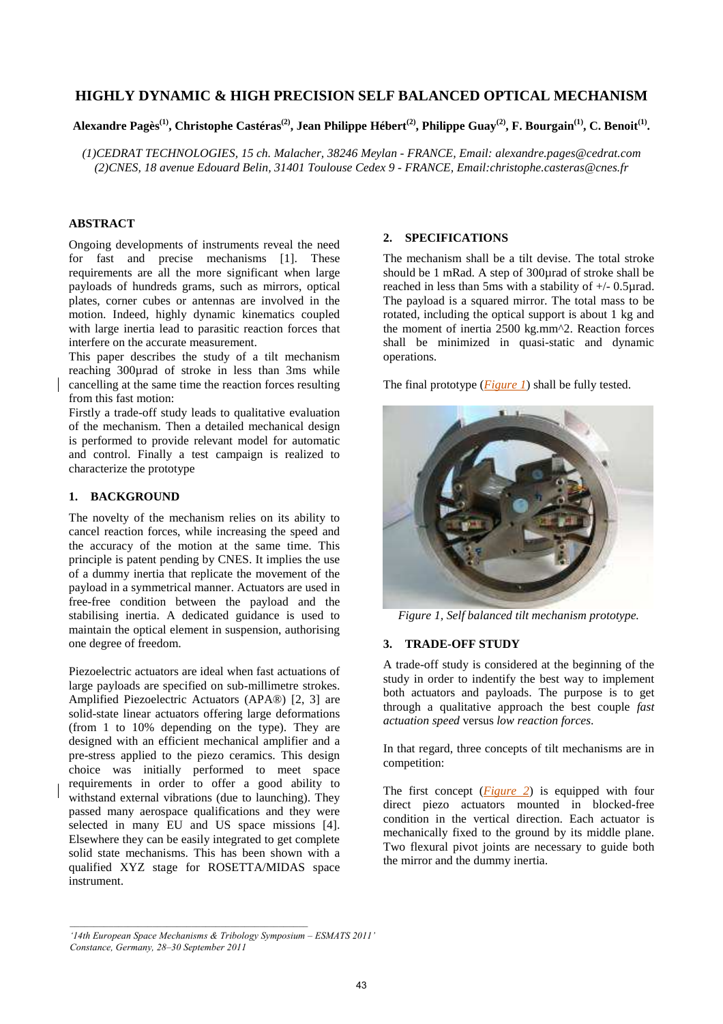# **HIGHLY DYNAMIC & HIGH PRECISION SELF BALANCED OPTICAL MECHANISM**

# **Alexandre Pagès(1), Christophe Castéras(2), Jean Philippe Hébert(2), Philippe Guay(2), F. Bourgain(1), C. Benoit(1) .**

*(1)CEDRAT TECHNOLOGIES, 15 ch. Malacher, 38246 Meylan - FRANCE, Email: alexandre.pages@cedrat.com (2)CNES, 18 avenue Edouard Belin, 31401 Toulouse Cedex 9 - FRANCE, Email:christophe.casteras@cnes.fr* 

## **ABSTRACT**

Ongoing developments of instruments reveal the need for fast and precise mechanisms [1]. These requirements are all the more significant when large payloads of hundreds grams, such as mirrors, optical plates, corner cubes or antennas are involved in the motion. Indeed, highly dynamic kinematics coupled with large inertia lead to parasitic reaction forces that interfere on the accurate measurement.

This paper describes the study of a tilt mechanism reaching 300µrad of stroke in less than 3ms while cancelling at the same time the reaction forces resulting from this fast motion:

Firstly a trade-off study leads to qualitative evaluation of the mechanism. Then a detailed mechanical design is performed to provide relevant model for automatic and control. Finally a test campaign is realized to characterize the prototype

## **1. BACKGROUND**

The novelty of the mechanism relies on its ability to cancel reaction forces, while increasing the speed and the accuracy of the motion at the same time. This principle is patent pending by CNES. It implies the use of a dummy inertia that replicate the movement of the payload in a symmetrical manner. Actuators are used in free-free condition between the payload and the stabilising inertia. A dedicated guidance is used to maintain the optical element in suspension, authorising one degree of freedom.

Piezoelectric actuators are ideal when fast actuations of large payloads are specified on sub-millimetre strokes. Amplified Piezoelectric Actuators (APA®) [2, 3] are solid-state linear actuators offering large deformations (from 1 to 10% depending on the type). They are designed with an efficient mechanical amplifier and a pre-stress applied to the piezo ceramics. This design choice was initially performed to meet space requirements in order to offer a good ability to withstand external vibrations (due to launching). They passed many aerospace qualifications and they were selected in many EU and US space missions [4]. Elsewhere they can be easily integrated to get complete solid state mechanisms. This has been shown with a qualified XYZ stage for ROSETTA/MIDAS space instrument.

## **2. SPECIFICATIONS**

The mechanism shall be a tilt devise. The total stroke should be 1 mRad. A step of 300urad of stroke shall be reached in less than 5ms with a stability of +/- 0.5µrad. The payload is a squared mirror. The total mass to be rotated, including the optical support is about 1 kg and the moment of inertia 2500 kg.mm^2. Reaction forces shall be minimized in quasi-static and dynamic operations.

The final prototype (*Figure 1*) shall be fully tested.



*Figure 1, Self balanced tilt mechanism prototype.*

#### **3. TRADE-OFF STUDY**

A trade-off study is considered at the beginning of the study in order to indentify the best way to implement both actuators and payloads. The purpose is to get through a qualitative approach the best couple *fast actuation speed* versus *low reaction forces*.

In that regard, three concepts of tilt mechanisms are in competition:

The first concept (*Figure 2*) is equipped with four direct piezo actuators mounted in blocked-free condition in the vertical direction. Each actuator is mechanically fixed to the ground by its middle plane. Two flexural pivot joints are necessary to guide both the mirror and the dummy inertia.

*<sup>&#</sup>x27;14th European Space Mechanisms & Tribology Symposium – ESMATS 2011' Constance, Germany, 28–30 September 2011*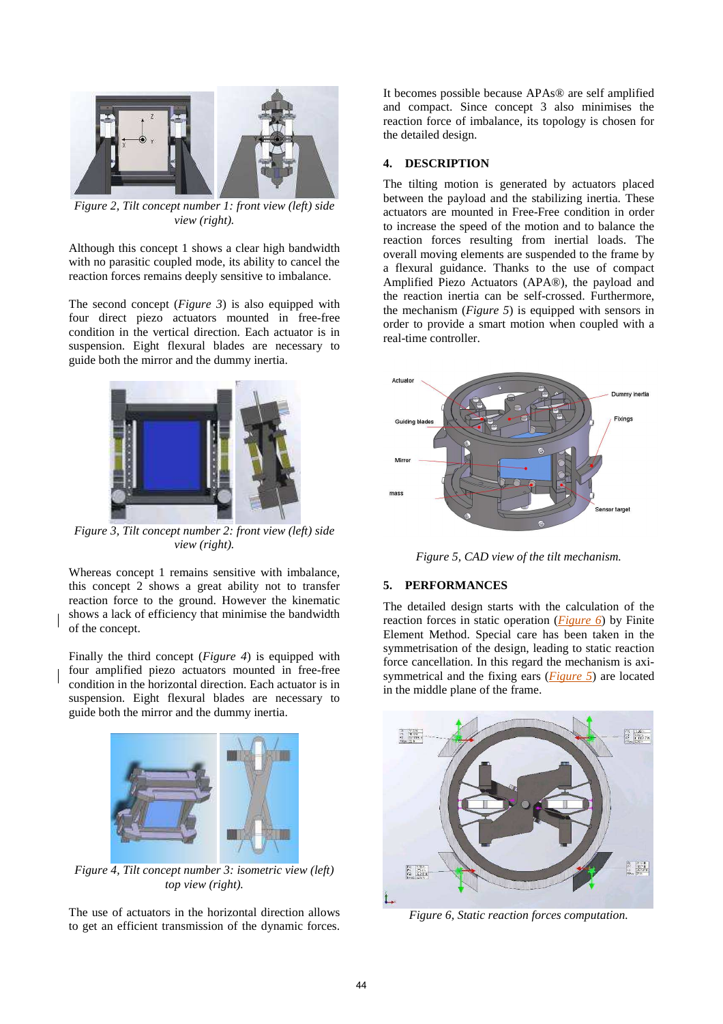

*Figure 2, Tilt concept number 1: front view (left) side view (right).*

Although this concept 1 shows a clear high bandwidth with no parasitic coupled mode, its ability to cancel the reaction forces remains deeply sensitive to imbalance.

The second concept (*Figure 3*) is also equipped with four direct piezo actuators mounted in free-free condition in the vertical direction. Each actuator is in suspension. Eight flexural blades are necessary to guide both the mirror and the dummy inertia.



*Figure 3, Tilt concept number 2: front view (left) side view (right).*

Whereas concept 1 remains sensitive with imbalance, this concept 2 shows a great ability not to transfer reaction force to the ground. However the kinematic shows a lack of efficiency that minimise the bandwidth of the concept.

Finally the third concept (*Figure 4*) is equipped with four amplified piezo actuators mounted in free-free condition in the horizontal direction. Each actuator is in suspension. Eight flexural blades are necessary to guide both the mirror and the dummy inertia.



*Figure 4, Tilt concept number 3: isometric view (left) top view (right).*

The use of actuators in the horizontal direction allows to get an efficient transmission of the dynamic forces.

It becomes possible because APAs® are self amplified and compact. Since concept 3 also minimises the reaction force of imbalance, its topology is chosen for the detailed design.

#### **4. DESCRIPTION**

The tilting motion is generated by actuators placed between the payload and the stabilizing inertia. These actuators are mounted in Free-Free condition in order to increase the speed of the motion and to balance the reaction forces resulting from inertial loads. The overall moving elements are suspended to the frame by a flexural guidance. Thanks to the use of compact Amplified Piezo Actuators (APA®), the payload and the reaction inertia can be self-crossed. Furthermore, the mechanism (*Figure 5*) is equipped with sensors in order to provide a smart motion when coupled with a real-time controller.



*Figure 5, CAD view of the tilt mechanism.* 

# **5. PERFORMANCES**

The detailed design starts with the calculation of the reaction forces in static operation (*Figure 6*) by Finite Element Method. Special care has been taken in the symmetrisation of the design, leading to static reaction force cancellation. In this regard the mechanism is axisymmetrical and the fixing ears (*Figure 5*) are located in the middle plane of the frame.



*Figure 6, Static reaction forces computation.*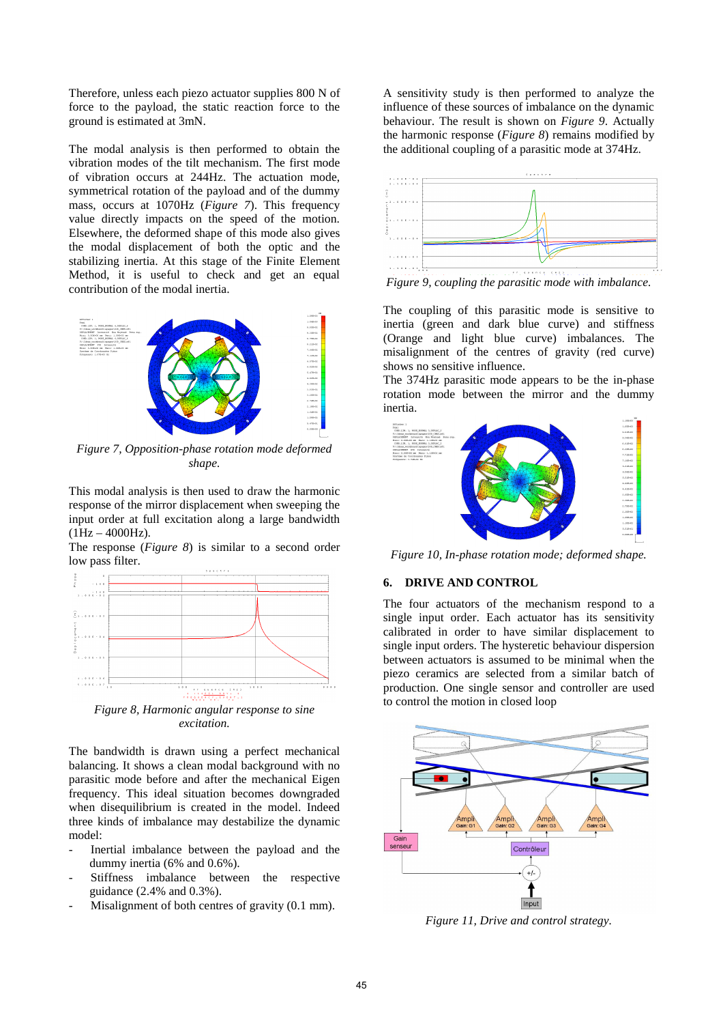Therefore, unless each piezo actuator supplies 800 N of force to the payload, the static reaction force to the ground is estimated at 3mN.

The modal analysis is then performed to obtain the vibration modes of the tilt mechanism. The first mode of vibration occurs at 244Hz. The actuation mode, symmetrical rotation of the payload and of the dummy mass, occurs at 1070Hz (*Figure 7*). This frequency value directly impacts on the speed of the motion. Elsewhere, the deformed shape of this mode also gives the modal displacement of both the optic and the stabilizing inertia. At this stage of the Finite Element Method, it is useful to check and get an equal contribution of the modal inertia.



*Figure 7, Opposition-phase rotation mode deformed shape.* 

This modal analysis is then used to draw the harmonic response of the mirror displacement when sweeping the input order at full excitation along a large bandwidth  $(1Hz - 4000Hz)$ .

The response (*Figure 8*) is similar to a second order low pass filter.



*Figure 8, Harmonic angular response to sine excitation.* 

The bandwidth is drawn using a perfect mechanical balancing. It shows a clean modal background with no parasitic mode before and after the mechanical Eigen frequency. This ideal situation becomes downgraded when disequilibrium is created in the model. Indeed three kinds of imbalance may destabilize the dynamic model:

- Inertial imbalance between the payload and the dummy inertia (6% and 0.6%).
- Stiffness imbalance between the respective guidance (2.4% and 0.3%).
- Misalignment of both centres of gravity (0.1 mm).

A sensitivity study is then performed to analyze the influence of these sources of imbalance on the dynamic behaviour. The result is shown on *Figure 9*. Actually the harmonic response (*Figure 8*) remains modified by the additional coupling of a parasitic mode at 374Hz.



*Figure 9, coupling the parasitic mode with imbalance.* 

The coupling of this parasitic mode is sensitive to inertia (green and dark blue curve) and stiffness (Orange and light blue curve) imbalances. The misalignment of the centres of gravity (red curve) shows no sensitive influence.

The 374Hz parasitic mode appears to be the in-phase rotation mode between the mirror and the dummy inertia.



*Figure 10, In-phase rotation mode; deformed shape.* 

#### **6. DRIVE AND CONTROL**

The four actuators of the mechanism respond to a single input order. Each actuator has its sensitivity calibrated in order to have similar displacement to single input orders. The hysteretic behaviour dispersion between actuators is assumed to be minimal when the piezo ceramics are selected from a similar batch of production. One single sensor and controller are used to control the motion in closed loop



*Figure 11, Drive and control strategy.*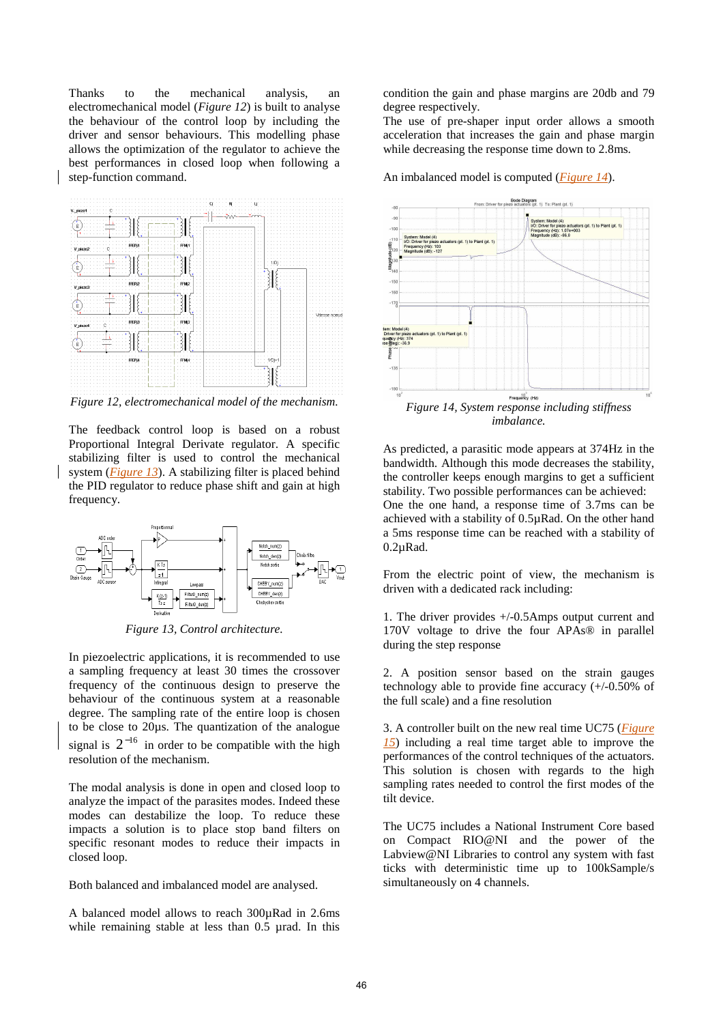Thanks to the mechanical analysis, an electromechanical model (*Figure 12*) is built to analyse the behaviour of the control loop by including the driver and sensor behaviours. This modelling phase allows the optimization of the regulator to achieve the best performances in closed loop when following a step-function command.



*Figure 12, electromechanical model of the mechanism.* 

The feedback control loop is based on a robust Proportional Integral Derivate regulator. A specific stabilizing filter is used to control the mechanical system (*Figure 13*). A stabilizing filter is placed behind the PID regulator to reduce phase shift and gain at high frequency.



*Figure 13, Control architecture.* 

In piezoelectric applications, it is recommended to use a sampling frequency at least 30 times the crossover frequency of the continuous design to preserve the behaviour of the continuous system at a reasonable degree. The sampling rate of the entire loop is chosen to be close to 20µs. The quantization of the analogue signal is  $2^{-16}$  in order to be compatible with the high resolution of the mechanism.

The modal analysis is done in open and closed loop to analyze the impact of the parasites modes. Indeed these modes can destabilize the loop. To reduce these impacts a solution is to place stop band filters on specific resonant modes to reduce their impacts in closed loop.

Both balanced and imbalanced model are analysed.

A balanced model allows to reach 300µRad in 2.6ms while remaining stable at less than 0.5 µrad. In this condition the gain and phase margins are 20db and 79 degree respectively.

The use of pre-shaper input order allows a smooth acceleration that increases the gain and phase margin while decreasing the response time down to 2.8ms.

An imbalanced model is computed (*Figure 14*).



*imbalance.* 

As predicted, a parasitic mode appears at 374Hz in the bandwidth. Although this mode decreases the stability, the controller keeps enough margins to get a sufficient stability. Two possible performances can be achieved: One the one hand, a response time of 3.7ms can be achieved with a stability of 0.5µRad. On the other hand a 5ms response time can be reached with a stability of 0.2µRad.

From the electric point of view, the mechanism is driven with a dedicated rack including:

1. The driver provides +/-0.5Amps output current and 170V voltage to drive the four APAs® in parallel during the step response

2. A position sensor based on the strain gauges technology able to provide fine accuracy  $(+/-0.50\%$  of the full scale) and a fine resolution

3. A controller built on the new real time UC75 (*Figure 15*) including a real time target able to improve the performances of the control techniques of the actuators. This solution is chosen with regards to the high sampling rates needed to control the first modes of the tilt device.

The UC75 includes a National Instrument Core based on Compact RIO@NI and the power of the Labview@NI Libraries to control any system with fast ticks with deterministic time up to 100kSample/s simultaneously on 4 channels.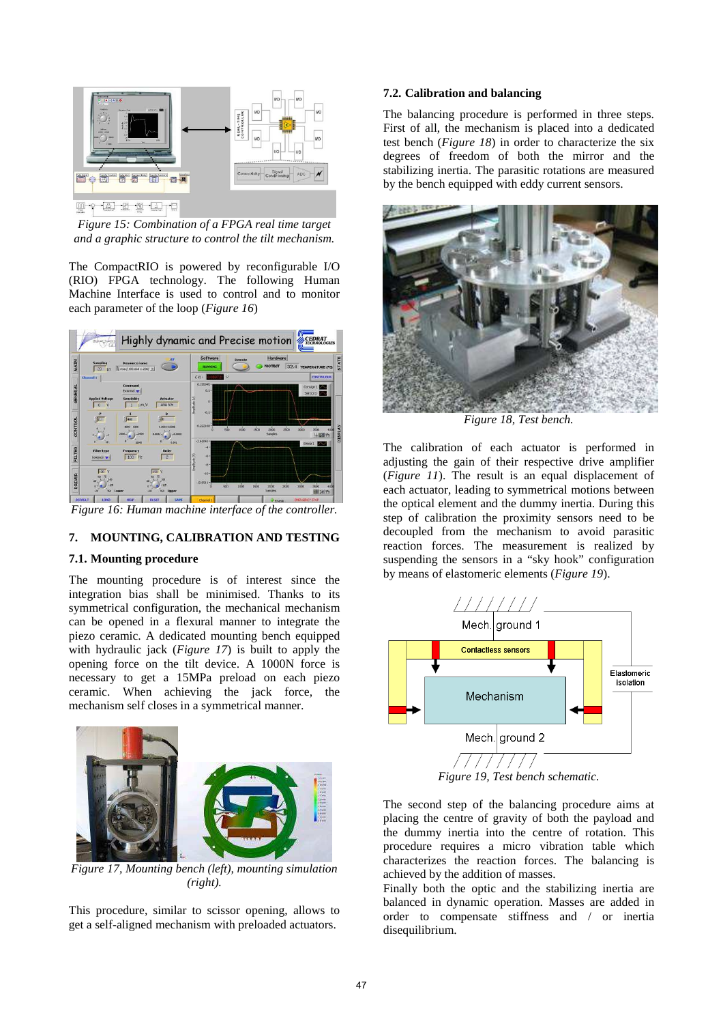

*Figure 15: Combination of a FPGA real time target and a graphic structure to control the tilt mechanism.* 

The CompactRIO is powered by reconfigurable I/O (RIO) FPGA technology. The following Human Machine Interface is used to control and to monitor each parameter of the loop (*Figure 16*)



*Figure 16: Human machine interface of the controller.* 

## **7. MOUNTING, CALIBRATION AND TESTING**

#### **7.1. Mounting procedure**

The mounting procedure is of interest since the integration bias shall be minimised. Thanks to its symmetrical configuration, the mechanical mechanism can be opened in a flexural manner to integrate the piezo ceramic. A dedicated mounting bench equipped with hydraulic jack (*Figure 17*) is built to apply the opening force on the tilt device. A 1000N force is necessary to get a 15MPa preload on each piezo ceramic. When achieving the jack force, the mechanism self closes in a symmetrical manner.



*Figure 17, Mounting bench (left), mounting simulation (right).* 

This procedure, similar to scissor opening, allows to get a self-aligned mechanism with preloaded actuators.

#### **7.2. Calibration and balancing**

The balancing procedure is performed in three steps. First of all, the mechanism is placed into a dedicated test bench (*Figure 18*) in order to characterize the six degrees of freedom of both the mirror and the stabilizing inertia. The parasitic rotations are measured by the bench equipped with eddy current sensors.



*Figure 18, Test bench.* 

The calibration of each actuator is performed in adjusting the gain of their respective drive amplifier (*Figure 11*). The result is an equal displacement of each actuator, leading to symmetrical motions between the optical element and the dummy inertia. During this step of calibration the proximity sensors need to be decoupled from the mechanism to avoid parasitic reaction forces. The measurement is realized by suspending the sensors in a "sky hook" configuration by means of elastomeric elements (*Figure 19*).



*Figure 19, Test bench schematic.* 

The second step of the balancing procedure aims at placing the centre of gravity of both the payload and the dummy inertia into the centre of rotation. This procedure requires a micro vibration table which characterizes the reaction forces. The balancing is achieved by the addition of masses.

Finally both the optic and the stabilizing inertia are balanced in dynamic operation. Masses are added in order to compensate stiffness and / or inertia disequilibrium.